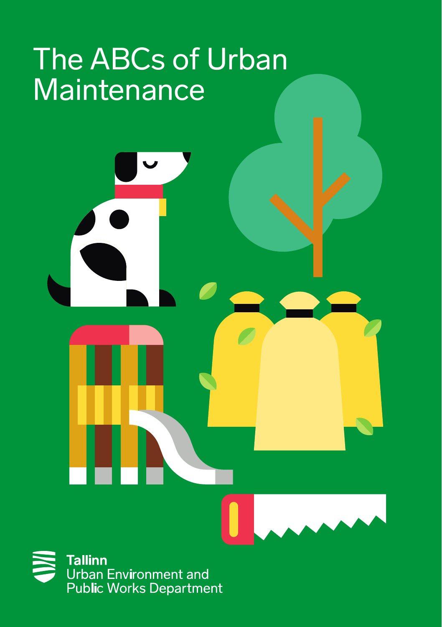## The ABCs of Urban **Maintenance**



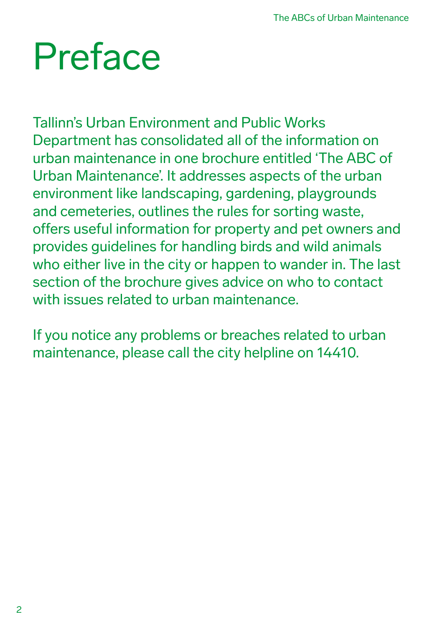## Preface

Tallinn's Urban Environment and Public Works Department has consolidated all of the information on urban maintenance in one brochure entitled 'The ABC of Urban Maintenance'. It addresses aspects of the urban environment like landscaping, gardening, playgrounds and cemeteries, outlines the rules for sorting waste, offers useful information for property and pet owners and provides guidelines for handling birds and wild animals who either live in the city or happen to wander in. The last section of the brochure gives advice on who to contact with issues related to urban maintenance.

If you notice any problems or breaches related to urban maintenance, please call the city helpline on 14410.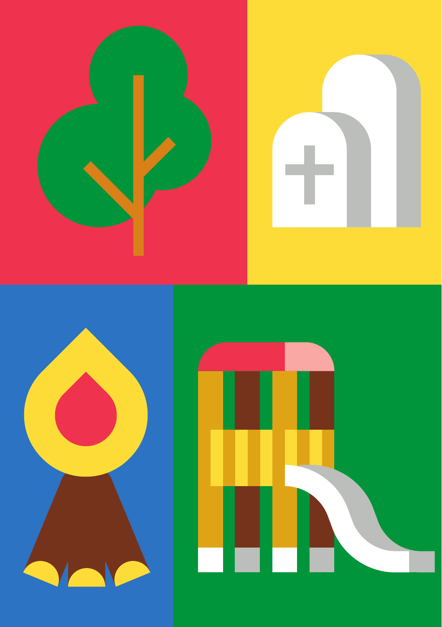





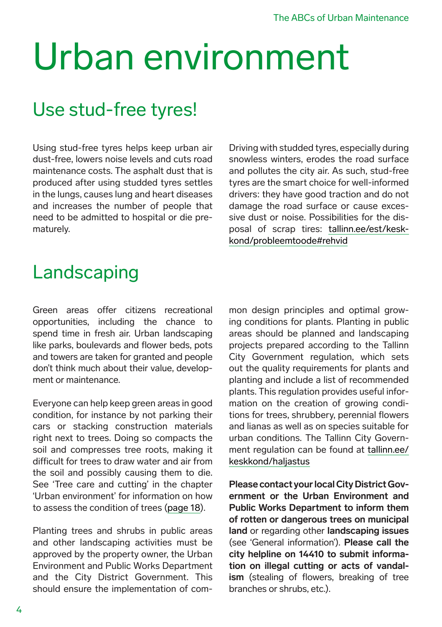## Urban environment

## Use stud-free tyres!

Using stud-free tyres helps keep urban air dust-free, lowers noise levels and cuts road maintenance costs. The asphalt dust that is produced after using studded tyres settles in the lungs, causes lung and heart diseases and increases the number of people that need to be admitted to hospital or die prematurely.

Driving with studded tyres, especially during snowless winters, erodes the road surface and pollutes the city air. As such, stud-free tyres are the smart choice for well-informed drivers: they have good traction and do not damage the road surface or cause excessive dust or noise. Possibilities for the disposal of scrap tires: [tallinn.ee/est/kesk](https://www.tallinn.ee/est/keskkond/probleemtoode#rehvid)[kond/probleemtoode#rehvid](https://www.tallinn.ee/est/keskkond/probleemtoode#rehvid)

### Landscaping

Green areas offer citizens recreational opportunities, including the chance to spend time in fresh air. Urban landscaping like parks, boulevards and flower beds, pots and towers are taken for granted and people don't think much about their value, development or maintenance.

Everyone can help keep green areas in good condition, for instance by not parking their cars or stacking construction materials right next to trees. Doing so compacts the soil and compresses tree roots, making it difficult for trees to draw water and air from the soil and possibly causing them to die. See 'Tree care and cutting' in the chapter 'Urban environment' for information on how to assess the condition of trees [\(page 18](#page-17-0)).

Planting trees and shrubs in public areas and other landscaping activities must be approved by the property owner, the Urban Environment and Public Works Department and the City District Government. This should ensure the implementation of common design principles and optimal growing conditions for plants. Planting in public areas should be planned and landscaping projects prepared according to the Tallinn City Government regulation, which sets out the quality requirements for plants and planting and include a list of recommended plants. This regulation provides useful information on the creation of growing conditions for trees, shrubbery, perennial flowers and lianas as well as on species suitable for urban conditions. The Tallinn City Government regulation can be found at [tallinn.ee/](https://www.tallinn.ee/keskkond/haljastus) [keskkond/haljastus](https://www.tallinn.ee/keskkond/haljastus)

**Please contact your local City District Government or the Urban Environment and Public Works Department to inform them of rotten or dangerous trees on municipal land** or regarding other **landscaping issues** (see 'General information'). **Please call the city helpline on 14410 to submit information on illegal cutting or acts of vandalism** (stealing of flowers, breaking of tree branches or shrubs, etc.).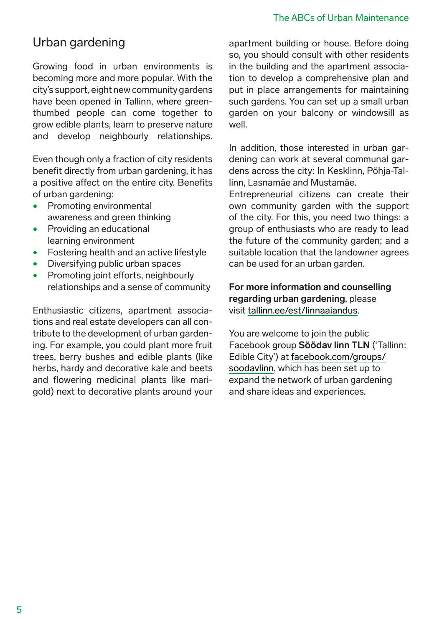#### Urban gardening

Growing food in urban environments is becoming more and more popular. With the city's support, eight new community gardens have been opened in Tallinn, where greenthumbed people can come together to grow edible plants, learn to preserve nature and develop neighbourly relationships.

Even though only a fraction of city residents benefit directly from urban gardening, it has a positive affect on the entire city. Benefits of urban gardening:

- Promoting environmental awareness and green thinking
- Providing an educational learning environment
- Fostering health and an active lifestyle
- Diversifying public urban spaces
- Promoting joint efforts, neighbourly relationships and a sense of community

Enthusiastic citizens, apartment associations and real estate developers can all contribute to the development of urban gardening. For example, you could plant more fruit trees, berry bushes and edible plants (like herbs, hardy and decorative kale and beets and flowering medicinal plants like marigold) next to decorative plants around your

apartment building or house. Before doing so, you should consult with other residents in the building and the apartment association to develop a comprehensive plan and put in place arrangements for maintaining such gardens. You can set up a small urban garden on your balcony or windowsill as well.

In addition, those interested in urban gardening can work at several communal gardens across the city: In Kesklinn, Põhja-Tallinn, Lasnamäe and Mustamäe.

Entrepreneurial citizens can create their own community garden with the support of the city. For this, you need two things: a group of enthusiasts who are ready to lead the future of the community garden; and a suitable location that the landowner agrees can be used for an urban garden.

#### **For more information and counselling regarding urban gardening**, please visit [tallinn.ee/est/linnaaiandus.](https://www.tallinn.ee/est/keskkond/Linnaaiandus)

You are welcome to join the public Facebook group **Söödav linn TLN** ('Tallinn: Edible City') at [facebook.com/groups/](https://www.facebook.com/groups/soodavlinn) [soodavlinn](https://www.facebook.com/groups/soodavlinn), which has been set up to expand the network of urban gardening and share ideas and experiences.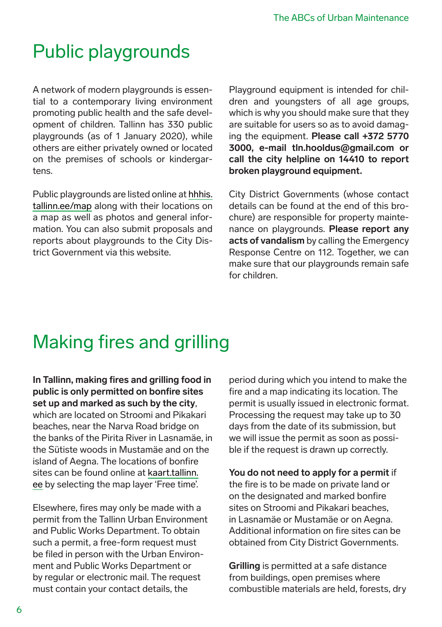## Public playgrounds

A network of modern playgrounds is essential to a contemporary living environment promoting public health and the safe development of children. Tallinn has 330 public playgrounds (as of 1 January 2020), while others are either privately owned or located on the premises of schools or kindergartens.

Public playgrounds are listed online at [hhhis.](https://hhhis.tallinn.ee/map) [tallinn.ee/map](https://hhhis.tallinn.ee/map) along with their locations on a map as well as photos and general information. You can also submit proposals and reports about playgrounds to the City District Government via this website.

Playground equipment is intended for children and youngsters of all age groups, which is why you should make sure that they are suitable for users so as to avoid damaging the equipment. **Please call +372 5770 3000, e-mail tln.hooldus@gmail.com or call the city helpline on 14410 to report broken playground equipment.**

City District Governments (whose contact details can be found at the end of this brochure) are responsible for property maintenance on playgrounds. **Please report any acts of vandalism** by calling the Emergency Response Centre on 112. Together, we can make sure that our playgrounds remain safe for children.

### Making fires and grilling

**In Tallinn, making fires and grilling food in public is only permitted on bonfire sites set up and marked as such by the city**, which are located on Stroomi and Pikakari beaches, near the Narva Road bridge on the banks of the Pirita River in Lasnamäe, in the Sütiste woods in Mustamäe and on the island of Aegna. The locations of bonfire sites can be found online at [kaart.tallinn.](https://gis.tallinn.ee/veebikaart/) [ee](https://gis.tallinn.ee/veebikaart/) by selecting the map layer 'Free time'.

Elsewhere, fires may only be made with a permit from the Tallinn Urban Environment and Public Works Department. To obtain such a permit, a free-form request must be filed in person with the Urban Environment and Public Works Department or by regular or electronic mail. The request must contain your contact details, the

period during which you intend to make the fire and a map indicating its location. The permit is usually issued in electronic format. Processing the request may take up to 30 days from the date of its submission, but we will issue the permit as soon as possible if the request is drawn up correctly.

**You do not need to apply for a permit** if the fire is to be made on private land or on the designated and marked bonfire sites on Stroomi and Pikakari beaches, in Lasnamäe or Mustamäe or on Aegna. Additional information on fire sites can be obtained from City District Governments.

**Grilling** is permitted at a safe distance from buildings, open premises where combustible materials are held, forests, dry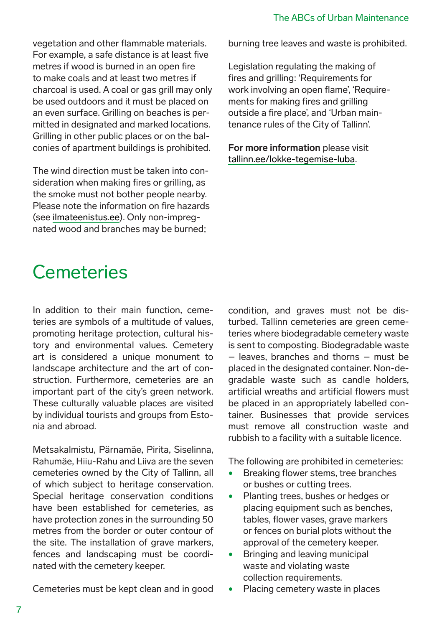vegetation and other flammable materials. For example, a safe distance is at least five metres if wood is burned in an open fire to make coals and at least two metres if charcoal is used. A coal or gas grill may only be used outdoors and it must be placed on an even surface. Grilling on beaches is permitted in designated and marked locations. Grilling in other public places or on the balconies of apartment buildings is prohibited.

The wind direction must be taken into consideration when making fires or grilling, as the smoke must not bother people nearby. Please note the information on fire hazards (see [ilmateenistus.ee\)](http://www.ilmateenistus.ee). Only non-impregnated wood and branches may be burned;

burning tree leaves and waste is prohibited.

Legislation regulating the making of fires and grilling: 'Requirements for work involving an open flame', 'Requirements for making fires and grilling outside a fire place', and 'Urban maintenance rules of the City of Tallinn'.

**For more information** please visit [tallinn.ee/lokke-tegemise-luba](https://www.tallinn.ee/lokke-tegemise-luba).

### **Cemeteries**

In addition to their main function, cemeteries are symbols of a multitude of values, promoting heritage protection, cultural history and environmental values. Cemetery art is considered a unique monument to landscape architecture and the art of construction. Furthermore, cemeteries are an important part of the city's green network. These culturally valuable places are visited by individual tourists and groups from Estonia and abroad.

Metsakalmistu, Pärnamäe, Pirita, Siselinna, Rahumäe, Hiiu-Rahu and Liiva are the seven cemeteries owned by the City of Tallinn, all of which subject to heritage conservation. Special heritage conservation conditions have been established for cemeteries, as have protection zones in the surrounding 50 metres from the border or outer contour of the site. The installation of grave markers, fences and landscaping must be coordinated with the cemetery keeper.

Cemeteries must be kept clean and in good

condition, and graves must not be disturbed. Tallinn cemeteries are green cemeteries where biodegradable cemetery waste is sent to composting. Biodegradable waste – leaves, branches and thorns – must be placed in the designated container. Non-degradable waste such as candle holders, artificial wreaths and artificial flowers must be placed in an appropriately labelled container. Businesses that provide services must remove all construction waste and rubbish to a facility with a suitable licence.

The following are prohibited in cemeteries:

- Breaking flower stems, tree branches or bushes or cutting trees.
- Planting trees, bushes or hedges or placing equipment such as benches, tables, flower vases, grave markers or fences on burial plots without the approval of the cemetery keeper.
- Bringing and leaving municipal waste and violating waste collection requirements.
- Placing cemetery waste in places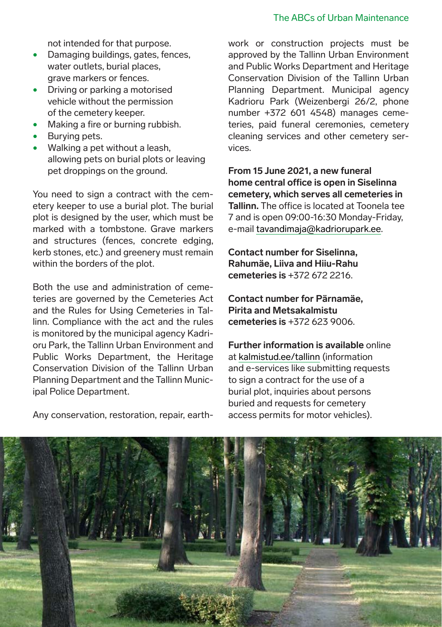not intended for that purpose.

- Damaging buildings, gates, fences, water outlets, burial places. grave markers or fences.
- Driving or parking a motorised vehicle without the permission of the cemetery keeper.
- Making a fire or burning rubbish.
- Burying pets.
- Walking a pet without a leash. allowing pets on burial plots or leaving pet droppings on the ground.

You need to sign a contract with the cemetery keeper to use a burial plot. The burial plot is designed by the user, which must be marked with a tombstone. Grave markers and structures (fences, concrete edging, kerb stones, etc.) and greenery must remain within the borders of the plot.

Both the use and administration of cemeteries are governed by the Cemeteries Act and the Rules for Using Cemeteries in Tallinn. Compliance with the act and the rules is monitored by the municipal agency Kadrioru Park, the Tallinn Urban Environment and Public Works Department, the Heritage Conservation Division of the Tallinn Urban Planning Department and the Tallinn Municipal Police Department.

Any conservation, restoration, repair, earth-

work or construction projects must be approved by the Tallinn Urban Environment and Public Works Department and Heritage Conservation Division of the Tallinn Urban Planning Department. Municipal agency Kadrioru Park (Weizenbergi 26/2, phone number +372 601 4548) manages cemeteries, paid funeral ceremonies, cemetery cleaning services and other cemetery services.

**From 15 June 2021, a new funeral home central office is open in Siselinna cemetery, which serves all cemeteries in Tallinn.** The office is located at Toonela tee 7 and is open 09:00-16:30 Monday-Friday, e-mail [tavandimaja@kadriorupark.ee.](mailto:tavandimaja%40kadriorupark.ee?subject=)

**Contact number for Siselinna, Rahumäe, Liiva and Hiiu-Rahu cemeteries is** +372 672 2216.

**Contact number for Pärnamäe, Pirita and Metsakalmistu cemeteries is** +372 623 9006.

**Further information is available** online at [kalmistud.ee/tallinn](https://www.kalmistud.ee/Tutvustus-2) (information and e-services like submitting requests to sign a contract for the use of a burial plot, inquiries about persons buried and requests for cemetery access permits for motor vehicles).

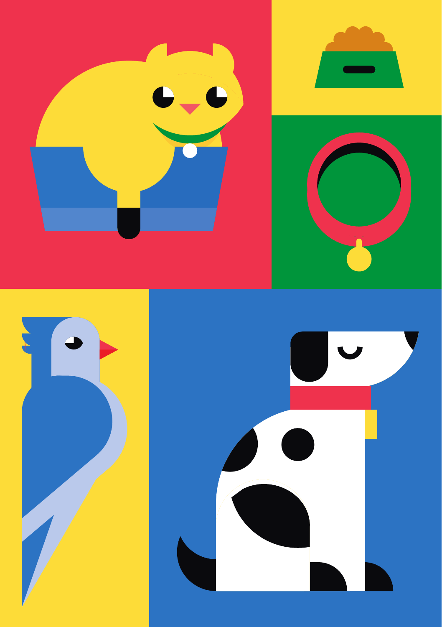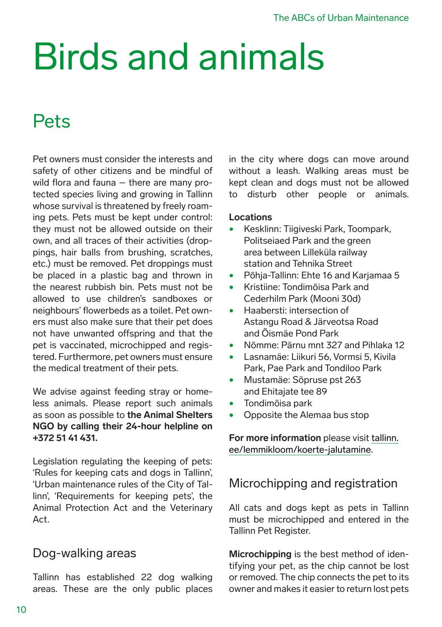## Birds and animals

## Pets

Pet owners must consider the interests and safety of other citizens and be mindful of wild flora and fauna – there are many protected species living and growing in Tallinn whose survival is threatened by freely roaming pets. Pets must be kept under control: they must not be allowed outside on their own, and all traces of their activities (droppings, hair balls from brushing, scratches, etc.) must be removed. Pet droppings must be placed in a plastic bag and thrown in the nearest rubbish bin. Pets must not be allowed to use children's sandboxes or neighbours' flowerbeds as a toilet. Pet owners must also make sure that their pet does not have unwanted offspring and that the pet is vaccinated, microchipped and registered. Furthermore, pet owners must ensure the medical treatment of their pets.

We advise against feeding stray or homeless animals. Please report such animals as soon as possible to **the Animal Shelters NGO by calling their 24-hour helpline on +372 51 41 431.**

Legislation regulating the keeping of pets: 'Rules for keeping cats and dogs in Tallinn', 'Urban maintenance rules of the City of Tallinn', 'Requirements for keeping pets', the Animal Protection Act and the Veterinary Act.

#### Dog-walking areas

Tallinn has established 22 dog walking areas. These are the only public places in the city where dogs can move around without a leash. Walking areas must be kept clean and dogs must not be allowed to disturb other people or animals.

#### **Locations**

- Kesklinn: Tiigiveski Park, Toompark, Politseiaed Park and the green area between Lilleküla railway station and Tehnika Street
- Põhja-Tallinn: Ehte 16 and Karjamaa 5
- Kristiine: Tondimõisa Park and Cederhilm Park (Mooni 30d)
- Haabersti: intersection of Astangu Road & Järveotsa Road and Õismäe Pond Park
- Nõmme: Pärnu mnt 327 and Pihlaka 12
- Lasnamäe: Liikuri 56, Vormsi 5, Kivila Park, Pae Park and Tondiloo Park
- Mustamäe: Sõpruse pst 263 and Ehitajate tee 89
- Tondimõisa park
- Opposite the Alemaa bus stop

**For more information** please visit [tallinn.](https://www.tallinn.ee/lemmikloom/koerte-jalutamine) [ee/lemmikloom/koerte-jalutamine.](https://www.tallinn.ee/lemmikloom/koerte-jalutamine)

#### Microchipping and registration

All cats and dogs kept as pets in Tallinn must be microchipped and entered in the Tallinn Pet Register.

**Microchipping** is the best method of identifying your pet, as the chip cannot be lost or removed. The chip connects the pet to its owner and makes it easier to return lost pets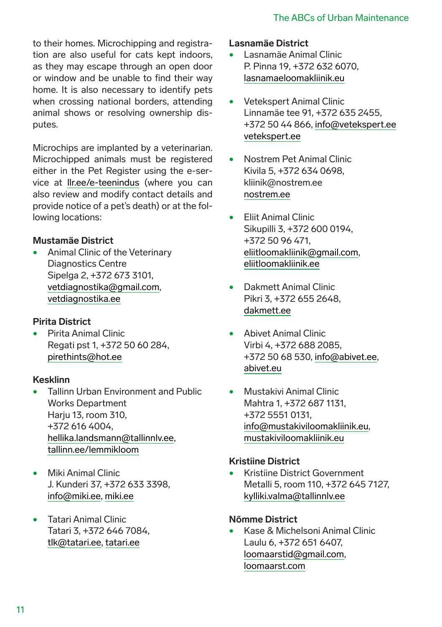to their homes. Microchipping and registration are also useful for cats kept indoors, as they may escape through an open door or window and be unable to find their way home. It is also necessary to identify pets when crossing national borders, attending animal shows or resolving ownership disputes.

Microchips are implanted by a veterinarian. Microchipped animals must be registered either in the Pet Register using the e-service at [llr.ee/e-teenindus](https://www.llr.ee/E-teenindus) (where you can also review and modify contact details and provide notice of a pet's death) or at the following locations:

#### **Mustamäe District**

• Animal Clinic of the Veterinary Diagnostics Centre Sipelga 2, +372 673 3101, [vetdiagnostika@gmail.com](mailto:vetdiagnostika%40gmail.com?subject=), [vetdiagnostika.ee](http://vetdiagnostika.ee)

#### **Pirita District**

• Pirita Animal Clinic Regati pst 1, +372 50 60 284, [pirethints@hot.ee](mailto:pirethints%40hot.ee?subject=)

#### **Kesklinn**

- Tallinn Urban Environment and Public Works Department Hariu 13, room 310. +372 616 4004, [hellika.landsmann@tallinnlv.ee](mailto:hellika.landsmann%40tallinnlv.ee?subject=), [tallinn.ee/lemmikloom](https://www.tallinn.ee/lemmikloom/)
- Miki Animal Clinic J. Kunderi 37, +372 633 3398, [info@miki.ee,](mailto:info%40miki.ee?subject=) [miki.ee](https://miki.ee)
- Tatari Animal Clinic Tatari 3, +372 646 7084, [tlk@tatari.ee](mailto:tlk%40tatari.ee?subject=), [tatari.ee](http://www.tatari.ee)

#### **Lasnamäe District**

- Lasnamäe Animal Clinic P. Pinna 19, +372 632 6070, [lasnamaeloomakliinik.eu](https://lasnamaeloomakliinik.eu)
- Vetekspert Animal Clinic Linnamäe tee 91, +372 635 2455, +372 50 44 866, [info@vetekspert.ee](mailto:info%40vetekspert.ee?subject=) [vetekspert.ee](https://www.vetekspert.ee)
- Nostrem Pet Animal Clinic Kivila 5, +372 634 0698, kliinik@nostrem.ee [nostrem.ee](http://nostrem.ee)
- Eliit Animal Clinic Sikupilli 3, +372 600 0194, +372 50 96 471, [eliitloomakliinik@gmail.com](mailto:eliitloomakliinik%40gmail.com?subject=), [eliitloomakliinik.ee](http://eliitloomakliinik.ee)
- Dakmett Animal Clinic Pikri 3, +372 655 2648, [dakmett.ee](http://dakmett.ee)
- Abivet Animal Clinic Virbi 4, +372 688 2085, +372 50 68 530, [info@abivet.ee,](mailto:info%40abivet.ee?subject=) [abivet.eu](http://abivet.eu)
- Mustakivi Animal Clinic Mahtra 1, +372 687 1131, +372 5551 0131, [info@mustakiviloomakliinik.eu](mailto:info%40mustakiviloomakliinik.eu?subject=), [mustakiviloomakliinik.eu](https://mustakiviloomakliinik.eu)

#### **Kristiine District**

• Kristiine District Government Metalli 5, room 110, +372 645 7127, [kylliki.valma@tallinnlv.ee](mailto:kylliki.valma%40tallinnlv.ee?subject=)

#### **Nõmme District**

• Kase & Michelsoni Animal Clinic Laulu 6, +372 651 6407, [loomaarstid@gmail.com,](mailto:loomaarstid%40gmail.com?subject=) [loomaarst.com](https://www.loomaarst.com)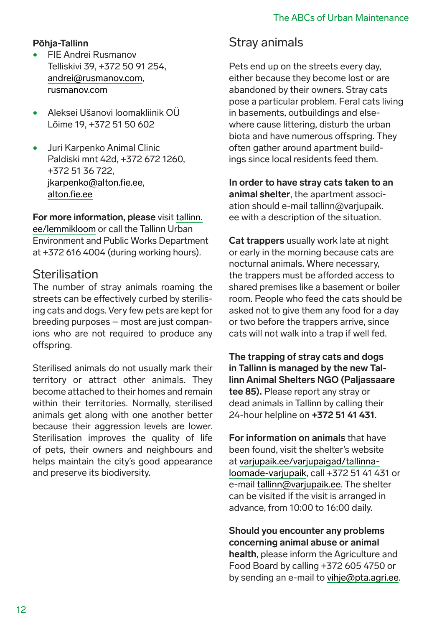#### **Põhja-Tallinn**

- FIE Andrei Rusmanov Telliskivi 39, +372 50 91 254, [andrei@rusmanov.com](mailto:andrei%40rusmanov.com?subject=), [rusmanov.com](https://rusmanov.com)
- Aleksei Ušanovi loomakliinik OÜ Lõime 19, +372 51 50 602
- Juri Karpenko Animal Clinic Paldiski mnt 42d, +372 672 1260, +372 51 36 722, [jkarpenko@alton.fie.ee](mailto:jkarpenko%40alton.fie.ee?subject=), [alton.fie.ee](http://alton.fie.ee)

**For more information, please** visit [tallinn.](mailto:https://www.tallinn.ee/lemmikloom/?subject=) [ee/lemmikloom](mailto:https://www.tallinn.ee/lemmikloom/?subject=) or call the Tallinn Urban Environment and Public Works Department at +372 616 4004 (during working hours).

#### **Sterilisation**

The number of stray animals roaming the streets can be effectively curbed by sterilising cats and dogs. Very few pets are kept for breeding purposes – most are just companions who are not required to produce any offspring.

Sterilised animals do not usually mark their territory or attract other animals. They become attached to their homes and remain within their territories. Normally, sterilised animals get along with one another better because their aggression levels are lower. Sterilisation improves the quality of life of pets, their owners and neighbours and helps maintain the city's good appearance and preserve its biodiversity.

#### Stray animals

Pets end up on the streets every day, either because they become lost or are abandoned by their owners. Stray cats pose a particular problem. Feral cats living in basements, outbuildings and elsewhere cause littering, disturb the urban biota and have numerous offspring. They often gather around apartment buildings since local residents feed them.

**In order to have stray cats taken to an animal shelter**, the apartment association should e-mail tallinn@varjupaik. ee with a description of the situation.

**Cat trappers** usually work late at night or early in the morning because cats are nocturnal animals. Where necessary, the trappers must be afforded access to shared premises like a basement or boiler room. People who feed the cats should be asked not to give them any food for a day or two before the trappers arrive, since cats will not walk into a trap if well fed.

**The trapping of stray cats and dogs in Tallinn is managed by the new Tallinn Animal Shelters NGO (Paljassaare tee 85).** Please report any stray or dead animals in Tallinn by calling their 24-hour helpline on **+372 51 41 431**.

**For information on animals** that have been found, visit the shelter's website at [varjupaik.ee/varjupaigad/tallinna](https://varjupaik.ee/varjupaigad/tallinna-loomade-varjupaik)[loomade-varjupaik](https://varjupaik.ee/varjupaigad/tallinna-loomade-varjupaik), call +372 51 41 431 or e-mail [tallinn@varjupaik.ee.](mailto:tallinn%40varjupaik.ee?subject=) The shelter can be visited if the visit is arranged in advance, from 10:00 to 16:00 daily.

**Should you encounter any problems concerning animal abuse or animal health**, please inform the Agriculture and Food Board by calling +372 605 4750 or by sending an e-mail to [vihje@pta.agri.ee.](mailto:vihje%40pta.agri.ee?subject=)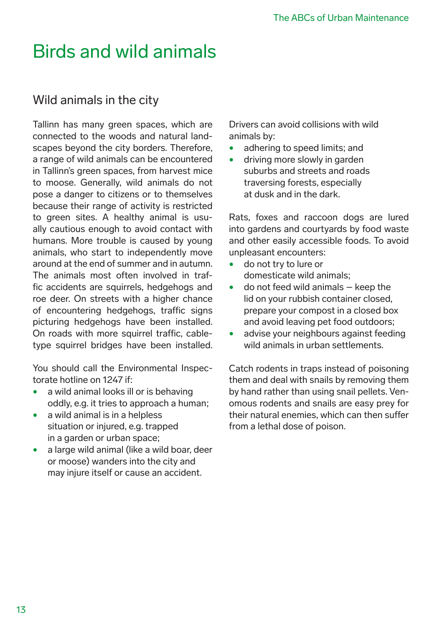## Birds and wild animals

#### Wild animals in the city

Tallinn has many green spaces, which are connected to the woods and natural landscapes beyond the city borders. Therefore, a range of wild animals can be encountered in Tallinn's green spaces, from harvest mice to moose. Generally, wild animals do not pose a danger to citizens or to themselves because their range of activity is restricted to green sites. A healthy animal is usually cautious enough to avoid contact with humans. More trouble is caused by young animals, who start to independently move around at the end of summer and in autumn. The animals most often involved in traffic accidents are squirrels, hedgehogs and roe deer. On streets with a higher chance of encountering hedgehogs, traffic signs picturing hedgehogs have been installed. On roads with more squirrel traffic, cabletype squirrel bridges have been installed.

You should call the Environmental Inspectorate hotline on 1247 if:

- a wild animal looks ill or is behaving oddly, e.g. it tries to approach a human;
- a wild animal is in a helpless situation or injured, e.g. trapped in a garden or urban space;
- a large wild animal (like a wild boar, deer or moose) wanders into the city and may injure itself or cause an accident.

Drivers can avoid collisions with wild animals by:

- adhering to speed limits; and
- driving more slowly in garden suburbs and streets and roads traversing forests, especially at dusk and in the dark.

Rats, foxes and raccoon dogs are lured into gardens and courtyards by food waste and other easily accessible foods. To avoid unpleasant encounters:

- do not try to lure or domesticate wild animals;
- do not feed wild animals keep the lid on your rubbish container closed, prepare your compost in a closed box and avoid leaving pet food outdoors;
- advise your neighbours against feeding wild animals in urban settlements.

Catch rodents in traps instead of poisoning them and deal with snails by removing them by hand rather than using snail pellets. Venomous rodents and snails are easy prey for their natural enemies, which can then suffer from a lethal dose of poison.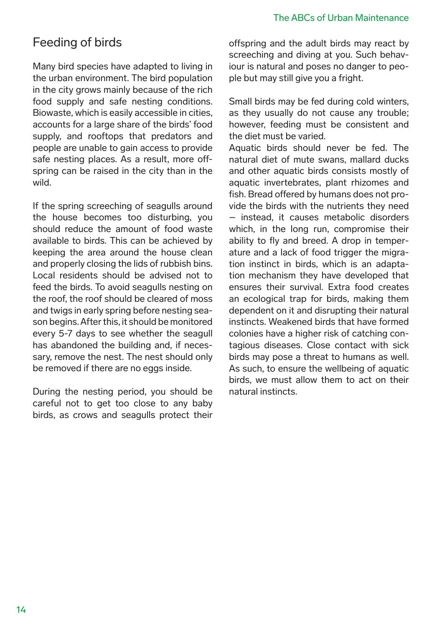#### Feeding of birds

Many bird species have adapted to living in the urban environment. The bird population in the city grows mainly because of the rich food supply and safe nesting conditions. Biowaste, which is easily accessible in cities, accounts for a large share of the birds' food supply, and rooftops that predators and people are unable to gain access to provide safe nesting places. As a result, more offspring can be raised in the city than in the wild.

If the spring screeching of seagulls around the house becomes too disturbing, you should reduce the amount of food waste available to birds. This can be achieved by keeping the area around the house clean and properly closing the lids of rubbish bins. Local residents should be advised not to feed the birds. To avoid seagulls nesting on the roof, the roof should be cleared of moss and twigs in early spring before nesting season begins. After this, it should be monitored every 5-7 days to see whether the seagull has abandoned the building and, if necessary, remove the nest. The nest should only be removed if there are no eggs inside.

During the nesting period, you should be careful not to get too close to any baby birds, as crows and seagulls protect their offspring and the adult birds may react by screeching and diving at you. Such behaviour is natural and poses no danger to people but may still give you a fright.

Small birds may be fed during cold winters, as they usually do not cause any trouble; however, feeding must be consistent and the diet must be varied.

Aquatic birds should never be fed. The natural diet of mute swans, mallard ducks and other aquatic birds consists mostly of aquatic invertebrates, plant rhizomes and fish. Bread offered by humans does not provide the birds with the nutrients they need – instead, it causes metabolic disorders which, in the long run, compromise their ability to fly and breed. A drop in temperature and a lack of food trigger the migration instinct in birds, which is an adaptation mechanism they have developed that ensures their survival. Extra food creates an ecological trap for birds, making them dependent on it and disrupting their natural instincts. Weakened birds that have formed colonies have a higher risk of catching contagious diseases. Close contact with sick birds may pose a threat to humans as well. As such, to ensure the wellbeing of aquatic birds, we must allow them to act on their natural instincts.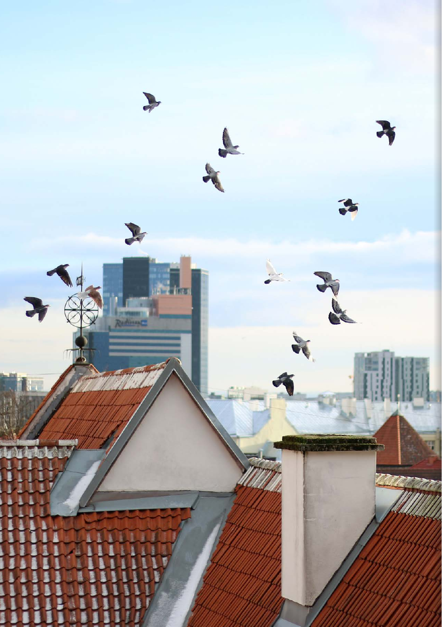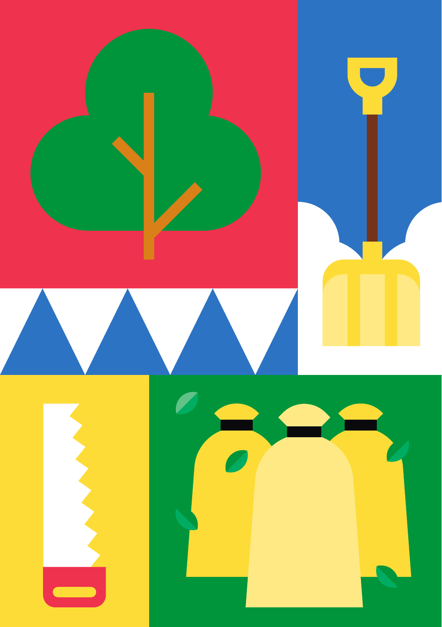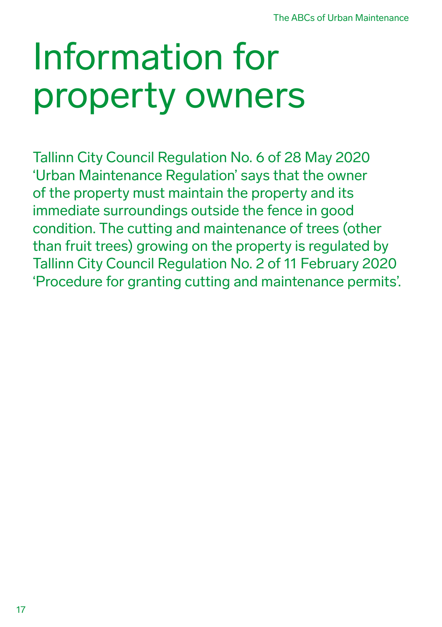## Information for property owners

Tallinn City Council Regulation No. 6 of 28 May 2020 'Urban Maintenance Regulation' says that the owner of the property must maintain the property and its immediate surroundings outside the fence in good condition. The cutting and maintenance of trees (other than fruit trees) growing on the property is regulated by Tallinn City Council Regulation No. 2 of 11 February 2020 'Procedure for granting cutting and maintenance permits'.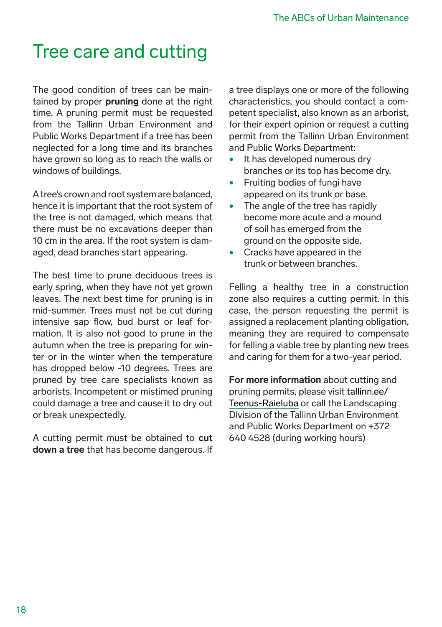## <span id="page-17-0"></span>Tree care and cutting

The good condition of trees can be maintained by proper **pruning** done at the right time. A pruning permit must be requested from the Tallinn Urban Environment and Public Works Department if a tree has been neglected for a long time and its branches have grown so long as to reach the walls or windows of buildings.

A tree's crown and root system are balanced, hence it is important that the root system of the tree is not damaged, which means that there must be no excavations deeper than 10 cm in the area. If the root system is damaged, dead branches start appearing.

The best time to prune deciduous trees is early spring, when they have not yet grown leaves. The next best time for pruning is in mid-summer. Trees must not be cut during intensive sap flow, bud burst or leaf formation. It is also not good to prune in the autumn when the tree is preparing for winter or in the winter when the temperature has dropped below -10 degrees. Trees are pruned by tree care specialists known as arborists. Incompetent or mistimed pruning could damage a tree and cause it to dry out or break unexpectedly.

A cutting permit must be obtained to **cut down a tree** that has become dangerous. If

a tree displays one or more of the following characteristics, you should contact a competent specialist, also known as an arborist, for their expert opinion or request a cutting permit from the Tallinn Urban Environment and Public Works Department:

- It has developed numerous dry branches or its top has become dry.
- Fruiting bodies of fungi have appeared on its trunk or base.
- The angle of the tree has rapidly become more acute and a mound of soil has emerged from the ground on the opposite side.
- Cracks have appeared in the trunk or between branches.

Felling a healthy tree in a construction zone also requires a cutting permit. In this case, the person requesting the permit is assigned a replacement planting obligation, meaning they are required to compensate for felling a viable tree by planting new trees and caring for them for a two-year period.

**For more information** about cutting and pruning permits, please visit [tallinn.ee/](mailto:https://www.tallinn.ee/Teenus-Raieluba?subject=) [Teenus-Raieluba](mailto:https://www.tallinn.ee/Teenus-Raieluba?subject=) or call the Landscaping Division of the Tallinn Urban Environment and Public Works Department on +372 640 4528 (during working hours)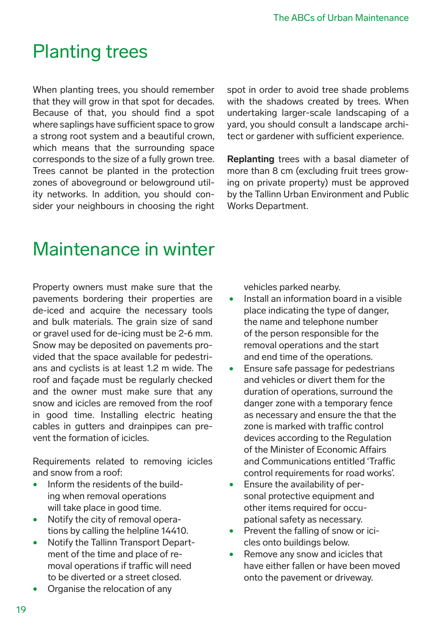## Planting trees

When planting trees, you should remember that they will grow in that spot for decades. Because of that, you should find a spot where saplings have sufficient space to grow a strong root system and a beautiful crown, which means that the surrounding space corresponds to the size of a fully grown tree. Trees cannot be planted in the protection zones of aboveground or belowground utility networks. In addition, you should consider your neighbours in choosing the right spot in order to avoid tree shade problems with the shadows created by trees. When undertaking larger-scale landscaping of a yard, you should consult a landscape architect or gardener with sufficient experience.

**Replanting** trees with a basal diameter of more than 8 cm (excluding fruit trees growing on private property) must be approved by the Tallinn Urban Environment and Public Works Department.

## Maintenance in winter

Property owners must make sure that the pavements bordering their properties are de-iced and acquire the necessary tools and bulk materials. The grain size of sand or gravel used for de-icing must be 2-6 mm. Snow may be deposited on pavements provided that the space available for pedestrians and cyclists is at least 1.2 m wide. The roof and façade must be regularly checked and the owner must make sure that any snow and icicles are removed from the roof in good time. Installing electric heating cables in gutters and drainpipes can prevent the formation of icicles.

Requirements related to removing icicles and snow from a roof:

- Inform the residents of the building when removal operations will take place in good time.
- Notify the city of removal operations by calling the helpline 14410.
- Notify the Tallinn Transport Department of the time and place of removal operations if traffic will need to be diverted or a street closed.
- Organise the relocation of any

vehicles parked nearby.

- Install an information board in a visible place indicating the type of danger, the name and telephone number of the person responsible for the removal operations and the start and end time of the operations.
- Ensure safe passage for pedestrians and vehicles or divert them for the duration of operations, surround the danger zone with a temporary fence as necessary and ensure the that the zone is marked with traffic control devices according to the Regulation of the Minister of Economic Affairs and Communications entitled 'Traffic control requirements for road works'.
- Ensure the availability of personal protective equipment and other items required for occupational safety as necessary.
- Prevent the falling of snow or icicles onto buildings below.
- Remove any snow and icicles that have either fallen or have been moved onto the pavement or driveway.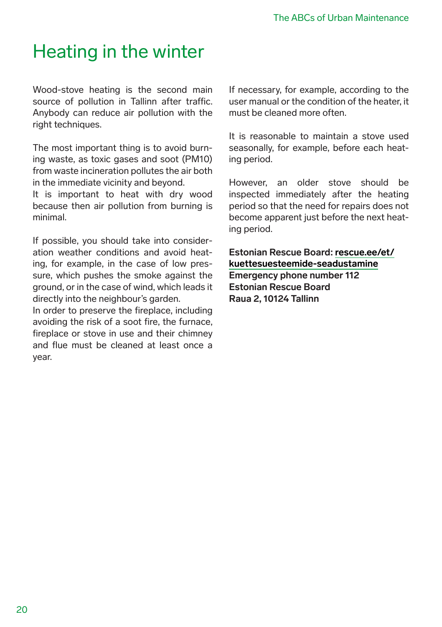## Heating in the winter

Wood-stove heating is the second main source of pollution in Tallinn after traffic. Anybody can reduce air pollution with the right techniques.

The most important thing is to avoid burning waste, as toxic gases and soot (PM10) from waste incineration pollutes the air both in the immediate vicinity and beyond.

It is important to heat with dry wood because then air pollution from burning is minimal.

If possible, you should take into consideration weather conditions and avoid heating, for example, in the case of low pressure, which pushes the smoke against the ground, or in the case of wind, which leads it directly into the neighbour's garden.

In order to preserve the fireplace, including avoiding the risk of a soot fire, the furnace, fireplace or stove in use and their chimney and flue must be cleaned at least once a year.

If necessary, for example, according to the user manual or the condition of the heater, it must be cleaned more often.

It is reasonable to maintain a stove used seasonally, for example, before each heating period.

However, an older stove should be inspected immediately after the heating period so that the need for repairs does not become apparent just before the next heating period.

**Estonian Rescue Board: [rescue.ee/et/](https://www.rescue.ee/et/kuettesuesteemide-seadustamine) [kuettesuesteemide-seadustamine](https://www.rescue.ee/et/kuettesuesteemide-seadustamine) Emergency phone number 112 Estonian Rescue Board Raua 2, 10124 Tallinn**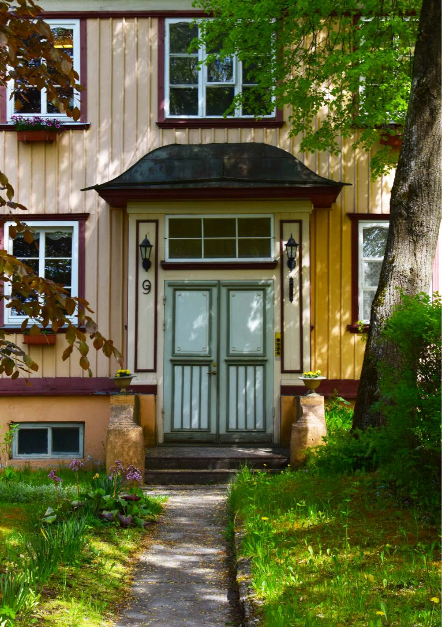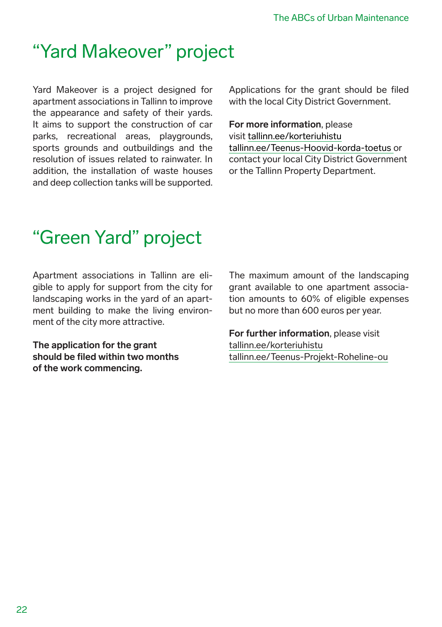## "Yard Makeover" project

Yard Makeover is a project designed for apartment associations in Tallinn to improve the appearance and safety of their yards. It aims to support the construction of car parks, recreational areas, playgrounds, sports grounds and outbuildings and the resolution of issues related to rainwater. In addition, the installation of waste houses and deep collection tanks will be supported.

Applications for the grant should be filed with the local City District Government.

**For more information**, please visit [tallinn.ee/korteriuhistu](https://www.tallinn.ee/korteriuhistu) [tallinn.ee/Teenus-Hoovid-korda-toetus o](https://www.tallinn.ee/Teenus-Hoovid-korda-toetu)r contact your local City District Government or the Tallinn Property Department.

### "Green Yard" project

Apartment associations in Tallinn are eligible to apply for support from the city for landscaping works in the yard of an apartment building to make the living environment of the city more attractive.

**The application for the grant should be filed within two months of the work commencing.**

The maximum amount of the landscaping grant available to one apartment association amounts to 60% of eligible expenses but no more than 600 euros per year.

**For further information**, please visit [tallinn.ee/korteriuhistu](https://www.tallinn.ee/korteriuhistu) [tallinn.ee/Teenus-Projekt-Roheline-ou](https://www.tallinn.ee/Teenus-Projekt-Roheline-ou)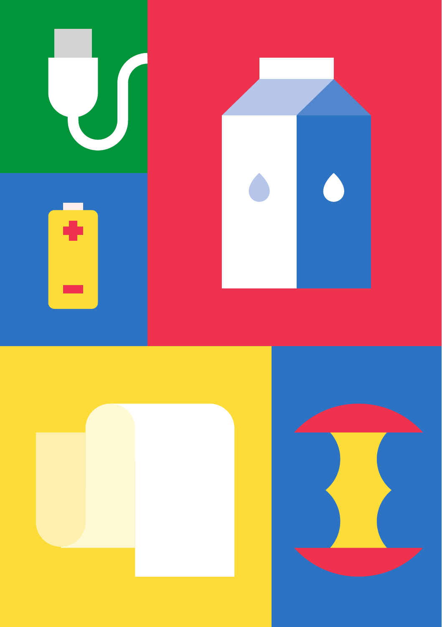



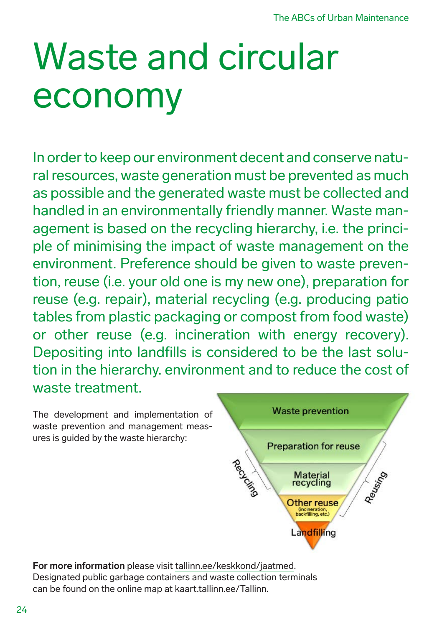## Waste and circular economy

In order to keep our environment decent and conserve natural resources, waste generation must be prevented as much as possible and the generated waste must be collected and handled in an environmentally friendly manner. Waste management is based on the recycling hierarchy, i.e. the principle of minimising the impact of waste management on the environment. Preference should be given to waste prevention, reuse (i.e. your old one is my new one), preparation for reuse (e.g. repair), material recycling (e.g. producing patio tables from plastic packaging or compost from food waste) or other reuse (e.g. incineration with energy recovery). Depositing into landfills is considered to be the last solution in the hierarchy. environment and to reduce the cost of waste treatment.

The development and implementation of waste prevention and management measures is guided by the waste hierarchy:



**For more information** please visit [tallinn.ee/keskkond/jaatmed](http://tallinn.ee/keskkond/jaatmed). Designated public garbage containers and waste collection terminals can be found on the online map at kaart.tallinn.ee/Tallinn.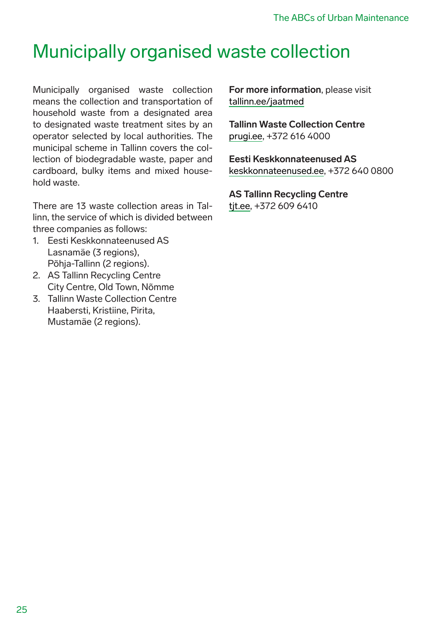## Municipally organised waste collection

Municipally organised waste collection means the collection and transportation of household waste from a designated area to designated waste treatment sites by an operator selected by local authorities. The municipal scheme in Tallinn covers the collection of biodegradable waste, paper and cardboard, bulky items and mixed household waste.

There are 13 waste collection areas in Tallinn, the service of which is divided between three companies as follows:

- 1. Eesti Keskkonnateenused AS Lasnamäe (3 regions), Põhja-Tallinn (2 regions).
- 2. AS Tallinn Recycling Centre City Centre, Old Town, Nõmme
- 3. Tallinn Waste Collection Centre Haabersti, Kristiine, Pirita, Mustamäe (2 regions).

**For more information**, please visit [tallinn.ee/jaatmed](https://www.tallinn.ee/est/keskkond/jaatmed)

**Tallinn Waste Collection Centre** [prugi.ee](https://www.prugi.ee/portal/), +372 616 4000

**Eesti Keskkonnateenused AS** [keskkonnateenused.ee,](https://www.keskkonnateenused.ee/avaleht) +372 640 0800

**AS Tallinn Recycling Centre** [tjt.ee,](https://tjt.ee) +372 609 6410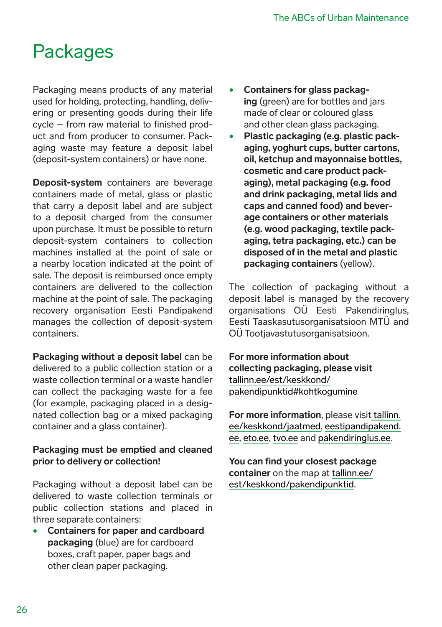### **Packages**

Packaging means products of any material used for holding, protecting, handling, delivering or presenting goods during their life cycle – from raw material to finished product and from producer to consumer. Packaging waste may feature a deposit label (deposit-system containers) or have none.

**Deposit-system** containers are beverage containers made of metal, glass or plastic that carry a deposit label and are subject to a deposit charged from the consumer upon purchase. It must be possible to return deposit-system containers to collection machines installed at the point of sale or a nearby location indicated at the point of sale. The deposit is reimbursed once empty containers are delivered to the collection machine at the point of sale. The packaging recovery organisation Eesti Pandipakend manages the collection of deposit-system containers.

**Packaging without a deposit label** can be delivered to a public collection station or a waste collection terminal or a waste handler can collect the packaging waste for a fee (for example, packaging placed in a designated collection bag or a mixed packaging container and a glass container).

#### **Packaging must be emptied and cleaned prior to delivery or collection!**

Packaging without a deposit label can be delivered to waste collection terminals or public collection stations and placed in three separate containers:

• **Containers for paper and cardboard packaging** (blue) are for cardboard boxes, craft paper, paper bags and other clean paper packaging.

- **Containers for glass packaging** (green) are for bottles and jars made of clear or coloured glass and other clean glass packaging.
- **Plastic packaging (e.g. plastic packaging, yoghurt cups, butter cartons, oil, ketchup and mayonnaise bottles, cosmetic and care product packaging), metal packaging (e.g. food and drink packaging, metal lids and caps and canned food) and beverage containers or other materials (e.g. wood packaging, textile packaging, tetra packaging, etc.) can be disposed of in the metal and plastic packaging containers** (yellow).

The collection of packaging without a deposit label is managed by the recovery organisations OÜ Eesti Pakendiringlus, Eesti Taaskasutusorganisatsioon MTÜ and OÜ Tootiavastutusorganisatsioon.

**For more information about collecting packaging, please visit** [tallinn.ee/est/keskkond/](https://www.tallinn.ee/est/keskkond/pakendipunktid#kohtkogumine) [pakendipunktid#kohtkogumine](https://www.tallinn.ee/est/keskkond/pakendipunktid#kohtkogumine)

**For more information**, please visit [tallinn.](http://tallinn.ee/keskkond/jaatmed) [ee/keskkond/jaatmed,](http://tallinn.ee/keskkond/jaatmed) [eestipandipakend.](https://eestipandipakend.ee) [ee](https://eestipandipakend.ee), [eto.ee](https://www.eto.ee), [tvo.ee](https://tvo.ee) and [pakendiringlus.ee](https://pakendiringlus.ee).

**You can find your closest package container** on the map at [tallinn.ee/](https://www.tallinn.ee/est/keskkond/pakendipunktid) [est/keskkond/pakendipunktid](https://www.tallinn.ee/est/keskkond/pakendipunktid).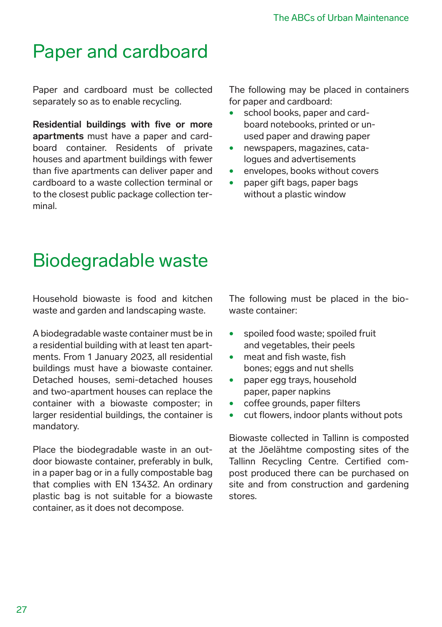## Paper and cardboard

Paper and cardboard must be collected separately so as to enable recycling.

**Residential buildings with five or more apartments** must have a paper and cardboard container. Residents of private houses and apartment buildings with fewer than five apartments can deliver paper and cardboard to a waste collection terminal or to the closest public package collection terminal.

The following may be placed in containers for paper and cardboard:

- school books, paper and cardboard notebooks, printed or unused paper and drawing paper
- newspapers, magazines, catalogues and advertisements
- envelopes, books without covers
- paper gift bags, paper bags without a plastic window

## Biodegradable waste

Household biowaste is food and kitchen waste and garden and landscaping waste.

A biodegradable waste container must be in a residential building with at least ten apartments. From 1 January 2023, all residential buildings must have a biowaste container. Detached houses, semi-detached houses and two-apartment houses can replace the container with a biowaste composter; in larger residential buildings, the container is mandatory.

Place the biodegradable waste in an outdoor biowaste container, preferably in bulk, in a paper bag or in a fully compostable bag that complies with EN 13432. An ordinary plastic bag is not suitable for a biowaste container, as it does not decompose.

The following must be placed in the biowaste container:

- spoiled food waste; spoiled fruit and vegetables, their peels
- meat and fish waste, fish bones; eggs and nut shells
- paper egg trays, household paper, paper napkins
- coffee grounds, paper filters
- cut flowers, indoor plants without pots

Biowaste collected in Tallinn is composted at the Jõelähtme composting sites of the Tallinn Recycling Centre. Certified compost produced there can be purchased on site and from construction and gardening stores.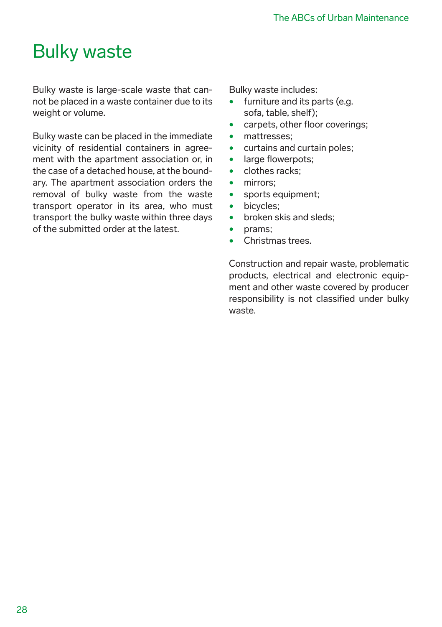## Bulky waste

Bulky waste is large-scale waste that cannot be placed in a waste container due to its weight or volume.

Bulky waste can be placed in the immediate vicinity of residential containers in agreement with the apartment association or, in the case of a detached house, at the boundary. The apartment association orders the removal of bulky waste from the waste transport operator in its area, who must transport the bulky waste within three days of the submitted order at the latest.

Bulky waste includes:

- furniture and its parts (e.g. sofa, table, shelf);
- carpets, other floor coverings:
- mattresses:
- curtains and curtain poles;
- large flowerpots;
- **clothes racks:**
- mirrors;
- sports equipment;
- bicycles:
- broken skis and sleds:
- prams;
- Christmas trees.

Construction and repair waste, problematic products, electrical and electronic equipment and other waste covered by producer responsibility is not classified under bulky waste.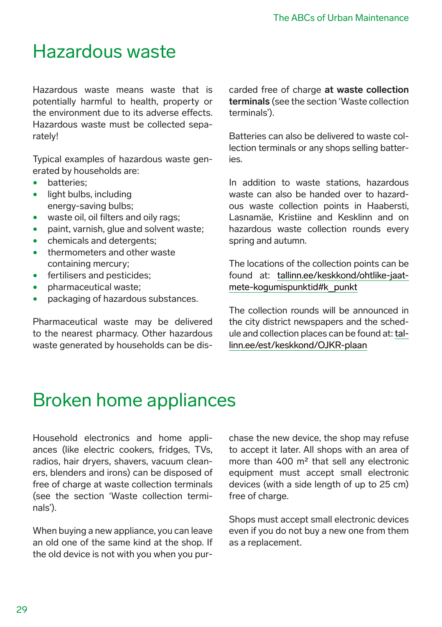#### Hazardous waste

Hazardous waste means waste that is potentially harmful to health, property or the environment due to its adverse effects. Hazardous waste must be collected separately!

Typical examples of hazardous waste generated by households are:

- batteries;
- light bulbs, including energy-saving bulbs;
- waste oil, oil filters and oily rags:
- paint, varnish, glue and solvent waste;
- chemicals and detergents;
- thermometers and other waste containing mercury;
- fertilisers and pesticides:
- pharmaceutical waste;
- packaging of hazardous substances.

Pharmaceutical waste may be delivered to the nearest pharmacy. Other hazardous waste generated by households can be discarded free of charge **at waste collection terminals** (see the section 'Waste collection terminals').

Batteries can also be delivered to waste collection terminals or any shops selling batteries.

In addition to waste stations, hazardous waste can also be handed over to hazardous waste collection points in Haabersti, Lasnamäe, Kristiine and Kesklinn and on hazardous waste collection rounds every spring and autumn.

The locations of the collection points can be found at: [tallinn.ee/keskkond/ohtlike-jaat](https://www.tallinn.ee/keskkond/ohtlike-jaatmete-kogumispunktid#k_punkt)[mete-kogumispunktid#k\\_punkt](https://www.tallinn.ee/keskkond/ohtlike-jaatmete-kogumispunktid#k_punkt)

The collection rounds will be announced in the city district newspapers and the schedule and collection places can be found at: [tal](https://www.tallinn.ee/est/keskkond/kogumisringid)[linn.ee/est/keskkond/OJKR-plaan](https://www.tallinn.ee/est/keskkond/kogumisringid)

#### Broken home appliances

Household electronics and home appliances (like electric cookers, fridges, TVs, radios, hair dryers, shavers, vacuum cleaners, blenders and irons) can be disposed of free of charge at waste collection terminals (see the section 'Waste collection terminals').

When buying a new appliance, you can leave an old one of the same kind at the shop. If the old device is not with you when you purchase the new device, the shop may refuse to accept it later. All shops with an area of more than 400 m² that sell any electronic equipment must accept small electronic devices (with a side length of up to 25 cm) free of charge.

Shops must accept small electronic devices even if you do not buy a new one from them as a replacement.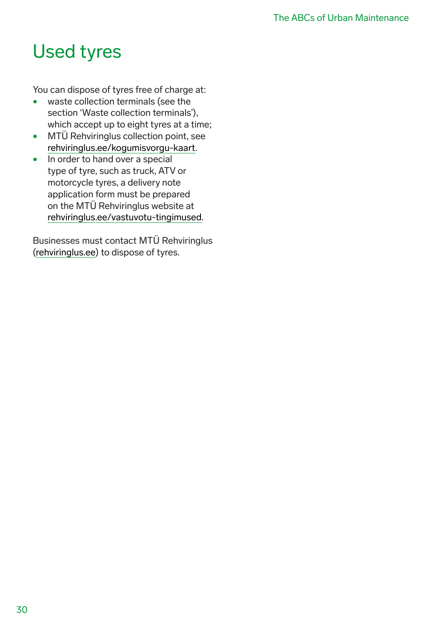## Used tyres

You can dispose of tyres free of charge at:

- waste collection terminals (see the section 'Waste collection terminals'), which accept up to eight tyres at a time;
- MTÜ Rehviringlus collection point, see [rehviringlus.ee/kogumisvorgu-kaart.](https://www.rehviringlus.ee/kogumisvorgu-kaart)
- In order to hand over a special type of tyre, such as truck, ATV or motorcycle tyres, a delivery note application form must be prepared on the MTÜ Rehviringlus website at [rehviringlus.ee/vastuvotu-tingimused](https://www.rehviringlus.ee/vastuvotu-tingimused).

Businesses must contact MTÜ Rehviringlus [\(rehviringlus.ee\)](https://www.rehviringlus.ee) to dispose of tyres.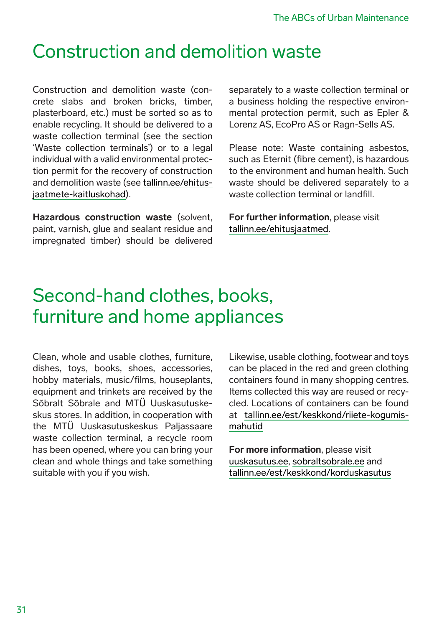#### Construction and demolition waste

Construction and demolition waste (concrete slabs and broken bricks, timber, plasterboard, etc.) must be sorted so as to enable recycling. It should be delivered to a waste collection terminal (see the section 'Waste collection terminals') or to a legal individual with a valid environmental protection permit for the recovery of construction and demolition waste (see [tallinn.ee/ehitus](https://www.tallinn.ee/est/keskkond/ehitusjaatmete-kaitluskohad)[jaatmete-kaitluskohad](https://www.tallinn.ee/est/keskkond/ehitusjaatmete-kaitluskohad)).

**Hazardous construction waste** (solvent, paint, varnish, glue and sealant residue and impregnated timber) should be delivered

separately to a waste collection terminal or a business holding the respective environmental protection permit, such as Epler & Lorenz AS, EcoPro AS or Ragn-Sells AS.

Please note: Waste containing asbestos, such as Eternit (fibre cement), is hazardous to the environment and human health. Such waste should be delivered separately to a waste collection terminal or landfill.

**For further information**, please visit [tallinn.ee/ehitusjaatmed.](https://www.tallinn.ee/est/keskkond/ehitusjaatmed)

#### Second-hand clothes, books, furniture and home appliances

Clean, whole and usable clothes, furniture, dishes, toys, books, shoes, accessories, hobby materials, music/films, houseplants, equipment and trinkets are received by the Sõbralt Sõbrale and MTÜ Uuskasutuskeskus stores. In addition, in cooperation with the MTÜ Uuskasutuskeskus Paljassaare waste collection terminal, a recycle room has been opened, where you can bring your clean and whole things and take something suitable with you if you wish.

Likewise, usable clothing, footwear and toys can be placed in the red and green clothing containers found in many shopping centres. Items collected this way are reused or recycled. Locations of containers can be found at [tallinn.ee/est/keskkond/riiete-kogumis](https://www.tallinn.ee/est/keskkond/riiete-kogumismahutid)[mahutid](https://www.tallinn.ee/est/keskkond/riiete-kogumismahutid)

**For more information**, please visit [uuskasutus.ee,](https://uuskasutus.ee) [sobraltsobrale.ee](http://sobraltsobrale.ee) and [tallinn.ee/est/keskkond/korduskasutus](https://www.tallinn.ee/est/keskkond/korduskasutus)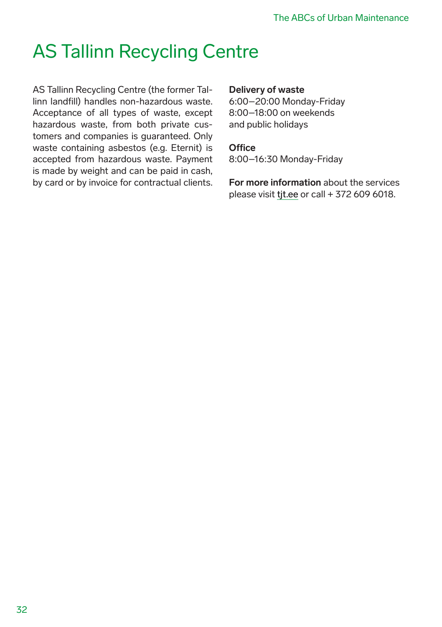## AS Tallinn Recycling Centre

AS Tallinn Recycling Centre (the former Tallinn landfill) handles non-hazardous waste. Acceptance of all types of waste, except hazardous waste, from both private customers and companies is guaranteed. Only waste containing asbestos (e.g. Eternit) is accepted from hazardous waste. Payment is made by weight and can be paid in cash, by card or by invoice for contractual clients.

#### **Delivery of waste**

6:00–20:00 Monday-Friday 8:00–18:00 on weekends and public holidays

#### **Office**

8:00–16:30 Monday-Friday

**For more information** about the services please visit tit.ee or call  $+$  372 609 6018.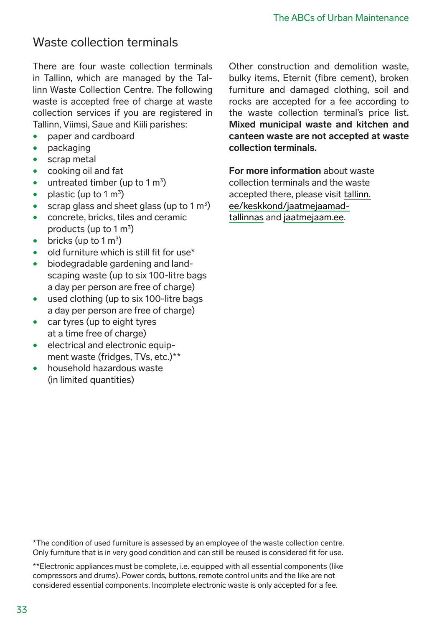#### Waste collection terminals

There are four waste collection terminals in Tallinn, which are managed by the Tallinn Waste Collection Centre. The following waste is accepted free of charge at waste collection services if you are registered in Tallinn, Viimsi, Saue and Kiili parishes:

- paper and cardboard
- packaging
- scrap metal
- cooking oil and fat
- untreated timber (up to 1  $\text{m}^3$ )
- plastic (up to 1 $m<sup>3</sup>$ )
- scrap glass and sheet glass (up to 1  $\text{m}^3$ )
- concrete, bricks, tiles and ceramic products (up to  $1 \text{ m}^3$ )
- bricks (up to  $1 \text{ m}^3$ )
- old furniture which is still fit for use\*
- biodegradable gardening and landscaping waste (up to six 100-litre bags a day per person are free of charge)
- used clothing (up to six 100-litre bags a day per person are free of charge)
- car tyres (up to eight tyres at a time free of charge)
- electrical and electronic equipment waste (fridges, TVs, etc.)\*\*
- household hazardous waste (in limited quantities)

Other construction and demolition waste, bulky items, Eternit (fibre cement), broken furniture and damaged clothing, soil and rocks are accepted for a fee according to the waste collection terminal's price list. **Mixed municipal waste and kitchen and canteen waste are not accepted at waste collection terminals.**

**For more information** about waste collection terminals and the waste accepted there, please visit [tallinn.](https://www.tallinn.ee/keskkond/jaatmejaamad-tallinnas) [ee/keskkond/jaatmejaamad](https://www.tallinn.ee/keskkond/jaatmejaamad-tallinnas)[tallinnas](https://www.tallinn.ee/keskkond/jaatmejaamad-tallinnas) and [jaatmejaam.ee.](https://jaatmejaam.ee)

\*The condition of used furniture is assessed by an employee of the waste collection centre. Only furniture that is in very good condition and can still be reused is considered fit for use.

\*\*Electronic appliances must be complete, i.e. equipped with all essential components (like compressors and drums). Power cords, buttons, remote control units and the like are not considered essential components. Incomplete electronic waste is only accepted for a fee.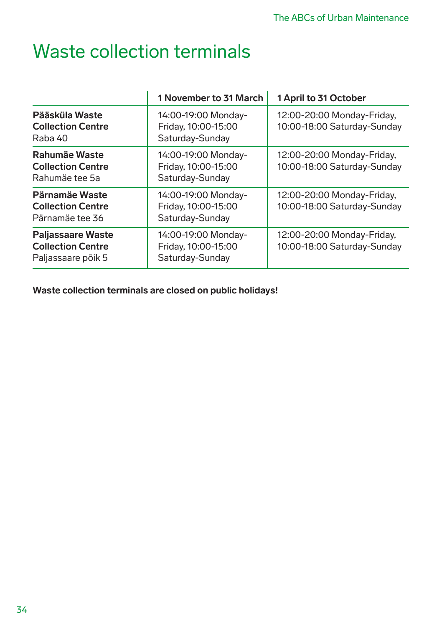## Waste collection terminals

|                                                                            | 1 November to 31 March                                        | 1 April to 31 October                                     |
|----------------------------------------------------------------------------|---------------------------------------------------------------|-----------------------------------------------------------|
| Pääsküla Waste<br><b>Collection Centre</b><br>Raba 40                      | 14:00-19:00 Monday-<br>Friday, 10:00-15:00<br>Saturday-Sunday | 12:00-20:00 Monday-Friday,<br>10:00-18:00 Saturday-Sunday |
| Rahumäe Waste<br><b>Collection Centre</b><br>Rahumäe tee 5a                | 14:00-19:00 Monday-<br>Friday, 10:00-15:00<br>Saturday-Sunday | 12:00-20:00 Monday-Friday,<br>10:00-18:00 Saturday-Sunday |
| Pärnamäe Waste<br><b>Collection Centre</b><br>Pärnamäe tee 36              | 14:00-19:00 Monday-<br>Friday, 10:00-15:00<br>Saturday-Sunday | 12:00-20:00 Monday-Friday,<br>10:00-18:00 Saturday-Sunday |
| <b>Paljassaare Waste</b><br><b>Collection Centre</b><br>Paljassaare põik 5 | 14:00-19:00 Monday-<br>Friday, 10:00-15:00<br>Saturday-Sunday | 12:00-20:00 Monday-Friday,<br>10:00-18:00 Saturday-Sunday |

**Waste collection terminals are closed on public holidays!**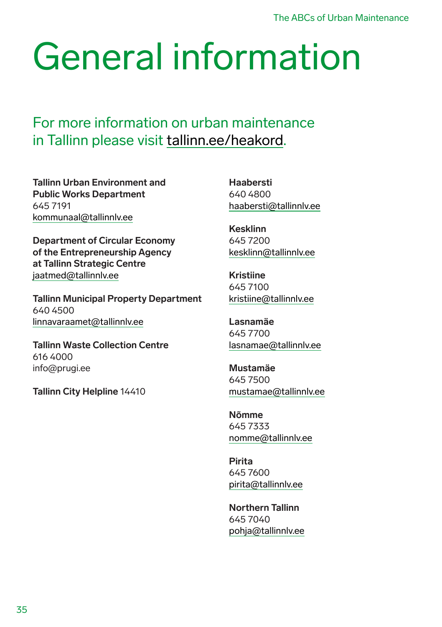# General information

#### For more information on urban maintenance in Tallinn please visit [tallinn.ee/heakord](https://www.tallinn.ee/otsing?sona=11300).

**Tallinn Urban Environment and Public Works Department** 645 7191 [kommunaal@tallinnlv.ee](mailto:kommunaal%40tallinnlv.ee?subject=)

**Department of Circular Economy of the Entrepreneurship Agency at Tallinn Strategic Centre** [jaatmed@tallinnlv.ee](mailto:jaatmed%40tallinnlv.ee?subject=)

**Tallinn Municipal Property Department** 640 4500 [linnavaraamet@tallinnlv.ee](mailto:linnavaraamet%40tallinnlv.ee%20?subject=)

**Tallinn Waste Collection Centre** 616 4000 info@prugi.ee

**Tallinn City Helpline** 14410

**Haabersti** 640 4800 [haabersti@tallinnlv.ee](mailto:haabersti%40tallinnlv.ee%20?subject=)

**Kesklinn** 645 7200 [kesklinn@tallinnlv.ee](mailto:kesklinn%40tallinnlv.ee%20?subject=)

**Kristiine** 645 7100 [kristiine@tallinnlv.ee](mailto:kristiine%40tallinnlv.ee%20?subject=)

**Lasnamäe** 645 7700 [lasnamae@tallinnlv.ee](mailto:lasnamae%40tallinnlv.ee%20?subject=)

**Mustamäe** 645 7500 [mustamae@tallinnlv.ee](mailto:mustamae%40tallinnlv.ee%20?subject=)

**Nõmme** 645 7333 [nomme@tallinnlv.ee](mailto:nomme%40tallinnlv.ee%20?subject=)

**Pirita** 645 7600 [pirita@tallinnlv.ee](mailto:pirita%40tallinnlv.ee%20?subject=)

**Northern Tallinn**  645 7040 [pohja@tallinnlv.ee](mailto:pohja%40tallinnlv.ee?subject=)